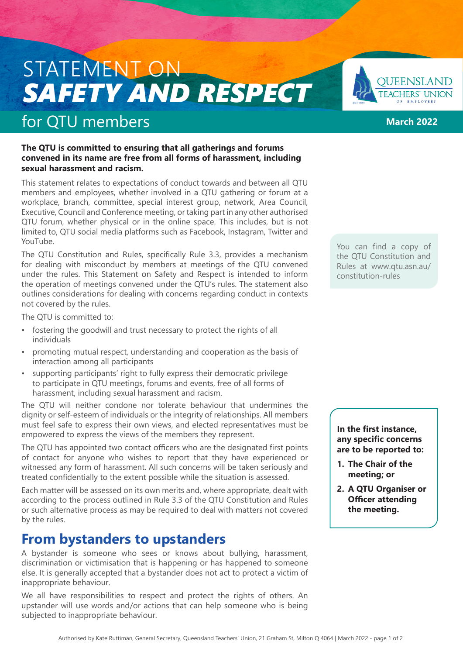# STATEMENT ON *SAFETY AND RESPECT*

## for QTU members

### **The QTU is committed to ensuring that all gatherings and forums convened in its name are free from all forms of harassment, including sexual harassment and racism.**

This statement relates to expectations of conduct towards and between all QTU members and employees, whether involved in a QTU gathering or forum at a workplace, branch, committee, special interest group, network, Area Council, Executive, Council and Conference meeting, or taking part in any other authorised QTU forum, whether physical or in the online space. This includes, but is not limited to, QTU social media platforms such as Facebook, Instagram, Twitter and YouTube.

The QTU Constitution and Rules, specifically Rule 3.3, provides a mechanism for dealing with misconduct by members at meetings of the QTU convened under the rules. This Statement on Safety and Respect is intended to inform the operation of meetings convened under the QTU's rules. The statement also outlines considerations for dealing with concerns regarding conduct in contexts not covered by the rules.

The QTU is committed to:

- fostering the goodwill and trust necessary to protect the rights of all individuals
- promoting mutual respect, understanding and cooperation as the basis of interaction among all participants
- supporting participants' right to fully express their democratic privilege to participate in QTU meetings, forums and events, free of all forms of harassment, including sexual harassment and racism.

The QTU will neither condone nor tolerate behaviour that undermines the dignity or self-esteem of individuals or the integrity of relationships. All members must feel safe to express their own views, and elected representatives must be empowered to express the views of the members they represent.

The QTU has appointed two contact officers who are the designated first points of contact for anyone who wishes to report that they have experienced or witnessed any form of harassment. All such concerns will be taken seriously and treated confidentially to the extent possible while the situation is assessed.

Each matter will be assessed on its own merits and, where appropriate, dealt with according to the process outlined in Rule 3.3 of the QTU Constitution and Rules or such alternative process as may be required to deal with matters not covered by the rules.

### **From bystanders to upstanders**

A bystander is someone who sees or knows about bullying, harassment, discrimination or victimisation that is happening or has happened to someone else. It is generally accepted that a bystander does not act to protect a victim of inappropriate behaviour.

We all have responsibilities to respect and protect the rights of others. An upstander will use words and/or actions that can help someone who is being subjected to inappropriate behaviour.

You can find a copy of the QTU Constitution and Rules at www.qtu.asn.au/ constitution-rules

**In the first instance, any specific concerns are to be reported to:**

- **1. The Chair of the meeting; or**
- **2. A QTU Organiser or Officer attending the meeting.**



**March 2022**